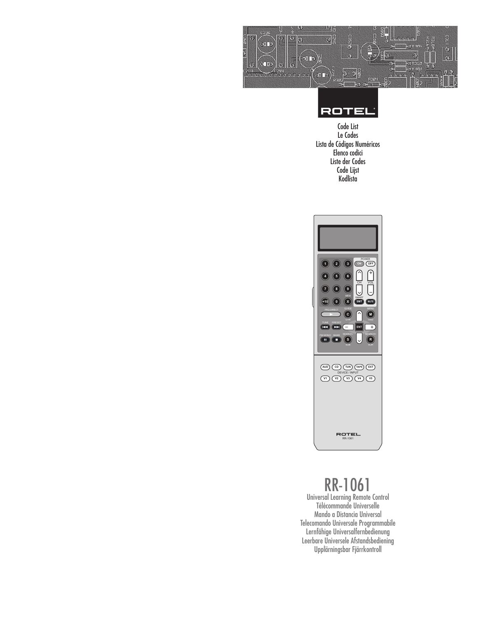



Code List Le Codes Lista de Códigos Numéricos Elenco codici Liste der Codes Code Lijst Kodlista



# RR-1061

Universal Learning Remote Control Télécommande Universelle Mando a Distancia Universal Telecomando Universale Programmabile Lernfähige Universalfernbedienung Leerbare Universele Afstandsbediening Upplärningsbar Fjärrkontroll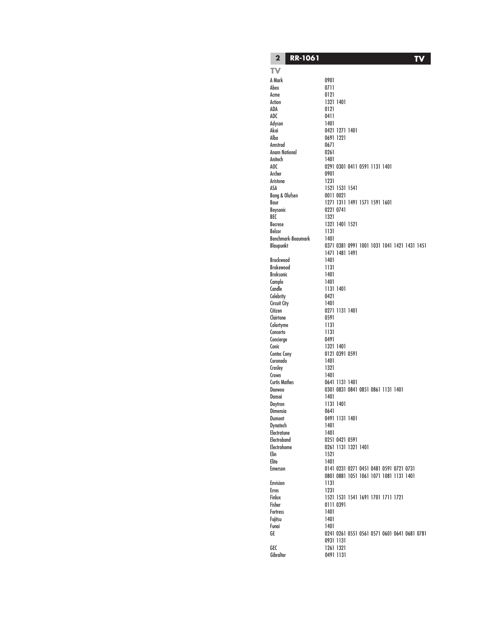**TV**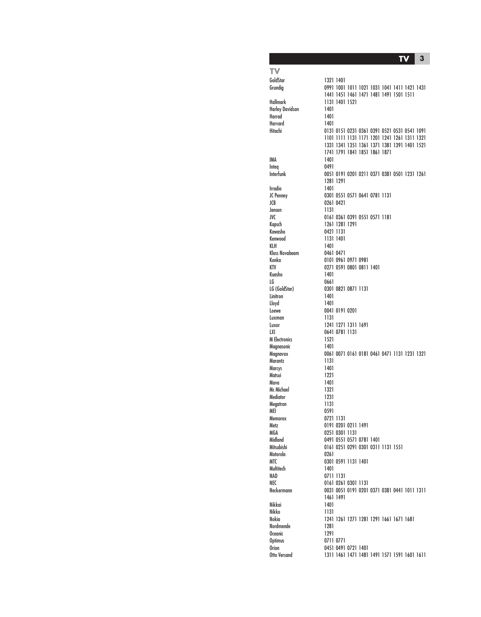**TV 3**

**TV**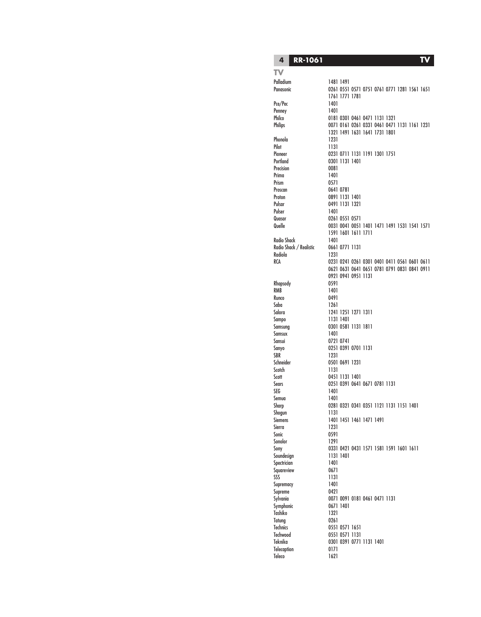#### **4 RR-1061**

**TV**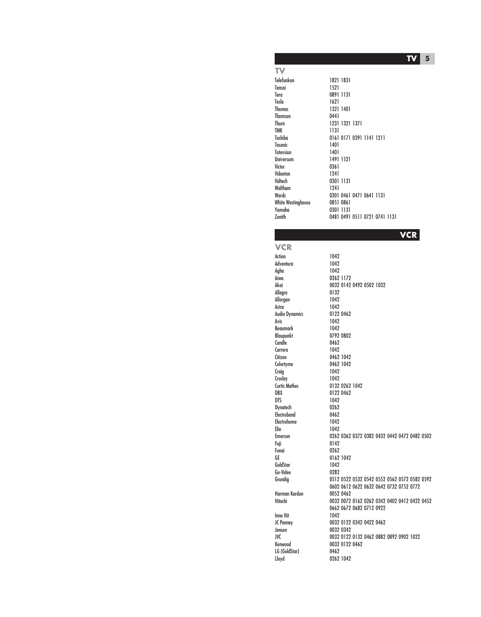**5 TV**

**TV**

```
Telefunken 1821 1831
Tensai 1521
Tera 0891 1131
Tesla 1621
                  1321 1401
Thomson 0441<br>Thorn 1231
Thorn 1231 1321 1371
                  1131
Toshiba 0161 0171 0391 1141 1211
Tosonic 1401<br>Totevsion 1401
Totevsion<br>Ilniversum
Universum 1491 1521
                  0361
Videoton 1241
                  0301 1131
Waltham 1241<br>Wards 0301
                  0301 0461 0471 0641 1131
White Westinghouse 0851 0861<br>Yamaha 0301 1131
Yamaha 0301 1131
                  0481 0491 0511 0721 0741 1131
```
**VCR**

**VCR** Action 1042<br>Adventura 1042 Adventura 1042<br>Agha 1042 Agha<br>Aiwa Allegro Allorgan 1042<br>Astra 1042 Beaumark<br>Blaupunkt Candle 0462<br>Carrera 1042 Carrera<br>Citizen Craig 1042<br>Croslev 1042 Crosley<br>Curtis Mathes Dynatech 0262 Electroband 0462<br>Electrohome 1042 Electrohome Elin 1042<br>Emerson 0262 Fuji 0142 GoldStar Go-Video 0282 Harman Kardon<br>Hitachi Inno Hit 1042<br>IC Penney 0032 LG (GoldStar)<br>Lloyd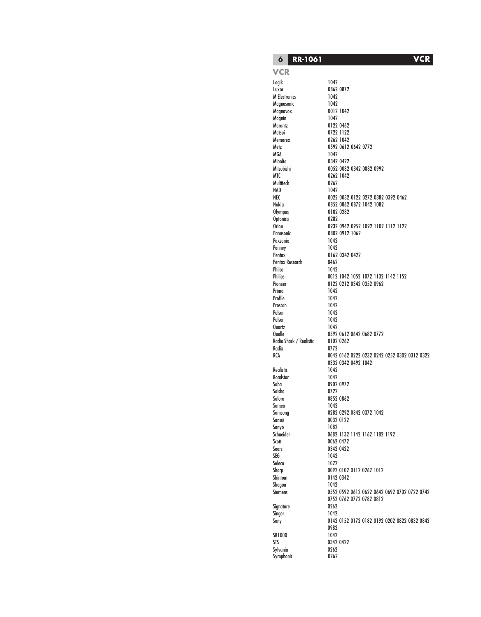**6 RR-1061 VCR**

#### **VCR**

Logik 1042 Luxor 0862 0872<br>M Electronics 1042 **M** Electronics Magnasonic 1042<br>Magnavox 0012 Magnin<br>Marantz Marantz 0122 0462 Matsui 0722 1122 Memorex 0262 1042<br>Metz 0592 0612 MGA 1042<br>Minolta 10342 Minolta 0342 0422 Multitech<br>NAD NAD 1042<br>NEC 0022  $0$ ptonica Paxsonix 1042 Penney<br>Pentax Pentax Research<br>Philco Philco 1042<br>Philips 0012 Prima 1042<br>Profile 1042 Proscan 1042<br>Pulsar 1042 Pulsar 1042 Pulser Quartz 1042<br>Quelle 0592 Radio Shack / Realistic 0102 0262<br>Radix 0772 Realistic 1042<br>Roadstar 1042 Roadstar<br>Saba Saisho<br>Salora Samex Sanyo 1082<br>Schneider 0682 Scott 0062 0472 Sears 0342 0422 SEG 1042<br>Seleco 1022 Shogun 1042<br>Siemens 0552 Signature Singer 1042<br>Sony 0142 SR1000 STS 0342 0422<br>Sylvania 0262 Sylvania 0262 Symphonic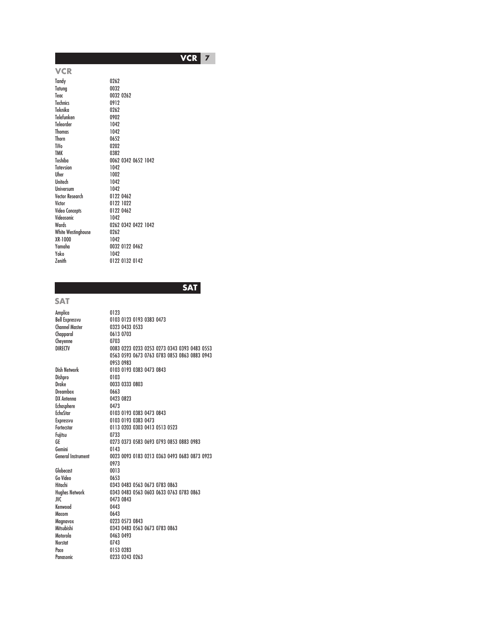**7 VCR**

**VCR** Tandy 0262<br>Tatuna 0032 Tatung Teac 0032 0262<br>Technics 0912 Technics 0912<br>Teknika 0262 Teknika 0262 Telefunken Teleorder 1042<br>Thomas 1042 Thomas Thorn 0652<br>TiVo 0202 TiVo 0202<br>TMK 0382 TMK 0382<br>Toshiba 0062 0062 0342 0652 1042<br>1042 Totevsion Uher 1002<br>Unitech 1042 Unitech Universum 1042 Vector Research<br>Victor 0122 1022<br>0122 0462 Video Concepts 0122<br>Videosonic 1042 Videosonic<br>Wards 0262 0342 0422 1042<br>0262 White Westinghouse 0262<br>XR-1000 1042 XR-1000<br>Yamaha Yamaha 0032 0122 0462 Yoko 1042 0122 0132 0142

**SAT**

**SAT**

Fujitsu

Gemini

Macom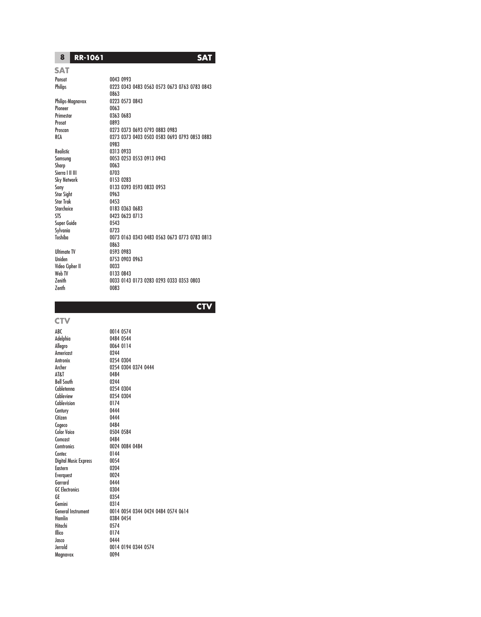### **8 RR-1061 SAT**

### **SAT**

Philips-Magnavox Pioneer 0063<br>Primestar 0363 Prosat 0893 Realistic 0313 0933 Sharp 0063<br>Sierra I II III 0703 Sierra I II III 0703 Sky Network<br>Sony Star<sup>'</sup> Sight Star Trak 0453 Starchoice 0183 0363 0683<br>STS 0423 0623 0713 Super Guide 0543 Sylvania<br>Toshiba Ultimate TV<br>Uniden Video Cipher II 0033

# Pansat 0043 0993 0223 0343 0483 0563 0573 0673 0763 0783 0843 0863<br>0223 0573 0843 0363 0683 0273 0373 0693 0793 0883 0983 RCA 0273 0373 0403 0503 0583 0693 0793 0853 0883 0983 Samsung 0053 0253 0553 0913 0943 0133 0393 0593 0833 0953<br>0963 0423 0623 0713<br>0543 0073 0163 0343 0483 0563 0673 0773 0783 0813 0863<br>0593 0983 0753 0903 0963 0133 0843 Zenith 0033 0143 0173 0283 0293 0333 0353 0803 0083

**CTV**

# **CTV**

Americast<br>Antronix Bell South<br>Cabletenna Cablevision Century 0444<br>Citizen 0444 Citizen Cogeco 0484<br>Color Voice 0504 Comcast 0484<br>Comtronics 0024 Contec 0144 Digital Music Express 0054 Eastern 0204<br>Everauest 0024 Everquest Garrard 0444<br>GC Electronics 0304 **GC** Electronics GE 0354<br>Gemini 0314 Gemini<br>General Instrument Hitachi 0574 Jasco 0444 Magnavox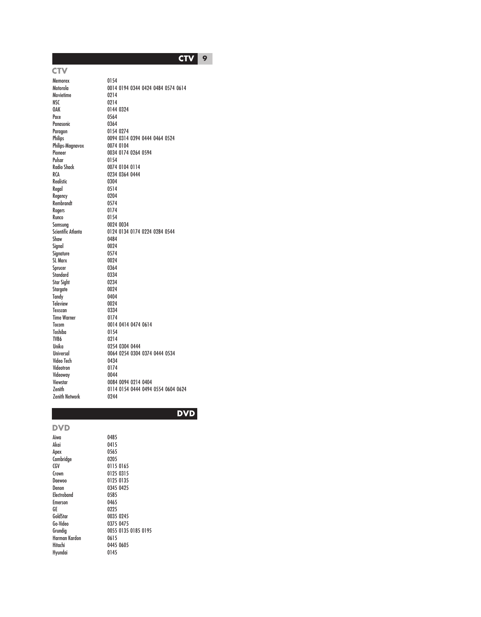**CTV 9**

**CTV**

Movietime<br>NSC

Panasonic

Realistic

Rogers

Signature

Sprucer

Toshiba<br>TV86

Videoway<br>Viewstar

Memorex 0154<br>Motorola 0014 0014 0194 0344 0424 0484 0574 0614<br>0214 NSC 0214<br>0AK 0144 0144 0324 Pace 0564<br>Panasonic 0364 Paragon 0154 0274<br>Philips 0094 0314 0094 0314 0394 0444 0464 0524<br>0074 0104 Philips-Magnavox<br>Pioneer Pioneer 0034 0174 0264 0594<br>Pulsar 0154 Pulsar 0154 0074 0104 0114 RCA 0234 0364 0444<br>Realistic 0304 Regal 0514<br>Regency 0204 Regency 0204 Rembrandt 0574<br>Rogers 0174 Runco 0154<br>Samsung 0024 Samsung 0024 0034<br>Scientific Atlanta 0124 0134 Scientific Atlanta **0124 0134 0174 0224 0284 0544**<br>Shaw 0484 0484<br>0024 Signal 0024<br>Signature 0574 SL Marx 0024 Standard 0334<br>Star Sight 0234 Star Sight 0234<br>Staragte 0024 Stargate 0024<br>Tandy 0404  $T$ andy 0404<br> $T$ eleview 0024 Teleview 0024<br>Texscan 0334 Texscan 0334<br>Time Warner 0174 Time Warner Tocom 0014 0414 0474 0614 TV86 0214 Unika 0254 0304 0444 0064 0254 0304 0374 0444 0534<br>0434 Video Tech Videotron 0174<br>Videowav 0044 Viewstar 0084 0094 0214 0404<br>Zenith 0114 0154 0444 0494 0114 0154 0444 0494 0554 0604 0624<br>0244 Zenith Network

**DVD**

| 0485                |
|---------------------|
| 0415                |
| 0565                |
| 0205                |
| 0115 0165           |
| 0125 0315           |
| 0125 0135           |
| 0345 0425           |
| 0585                |
| 0465                |
| 0225                |
| 0035 0245           |
| 0375 0475           |
| 0055 0135 0185 0195 |
| 0615                |
| 0445 0605           |
| 0145                |
|                     |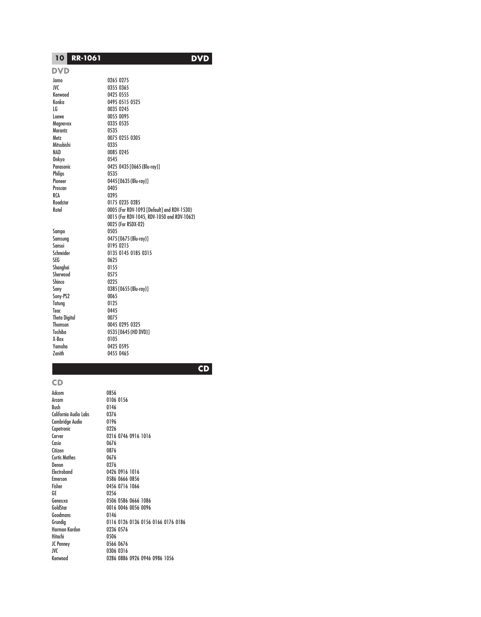# **10 RR-1061 DVD**

### **DVD**

Marantz Mitsubishi<br>NAD ..<br>Onkyo Philips<br>Pioneer Proscan<br>RCA Sampo Shanghai 0155<br>Sherwood 0575 Sherwood<br>Shinco Shinco 0225<br>Sony 0385 Sony-PS2 0065<br>Tatung 0125 Tatung Teac 0445 Theta Digital 0075 X-Box 0105<br>Yamaha 0425

Jamo 0265 0275 JVC 0355 0365 Kenwood 0425 0555 Konka 0495 0515 0525 LG 0035 0245 Loewe 0055 0095<br>Magnavox 0335 0535 0335 0535<br>0535 Metz 0075 0255 0305 0085 0245<br>0545 Panasonic 0425 0435 [0665 (Blu-ray)]<br>Philins 0535 0445 [0635 (Blu-ray)]<br>0405 0395 Roadstar 0175 0235 0285 0005 (For RDV-1093 [Default] and RDV-1530) 0015 (For RDV-1045, RDV-1050 and RDV-1062) 0025 (For RSDX-02) Samsung 0475 [0675 (Blu-ray)] Sansui 0195 0215 Schneider 0135 0145 0185 0315 0625<br>0155 O385 [O655 (Blu-ray)]<br>0065 Thomson<br>Toshiba 0045 0295 0325<br>0535 10645 (HD D 0535 [0645 (HD DVD)] Yamaha 0425 0595 0455 0465

# **CD**

## **CD**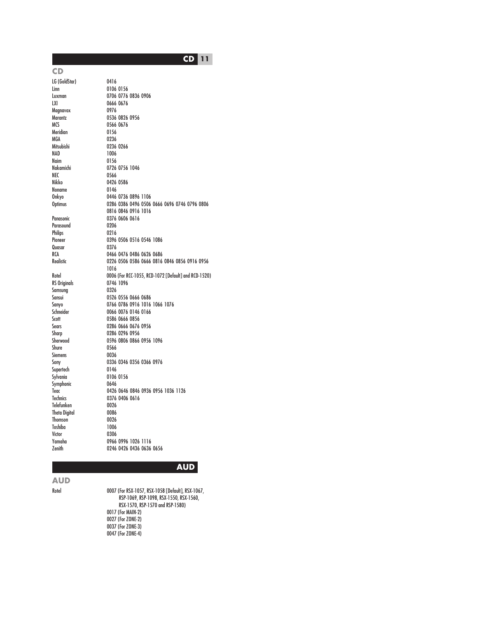**CD** Meridian Noname<br>Onkyo Parasound<br>Philips Quasar Samsung Siemens Supertech Thomson

#### **AUD**

**AUD**

Rotel 0007 (For RSX-1057, RSX-1058 [Default], RSX-1067, RSP-1069, RSP-1098, RSX-1550, RSX-1560, RSX-1570, RSP-1570 and RSP-1580) 0017 (For MAIN-2) 0027 (For 70NF-2) 0037 (For ZONE-3) 0047 (For ZONE-4)